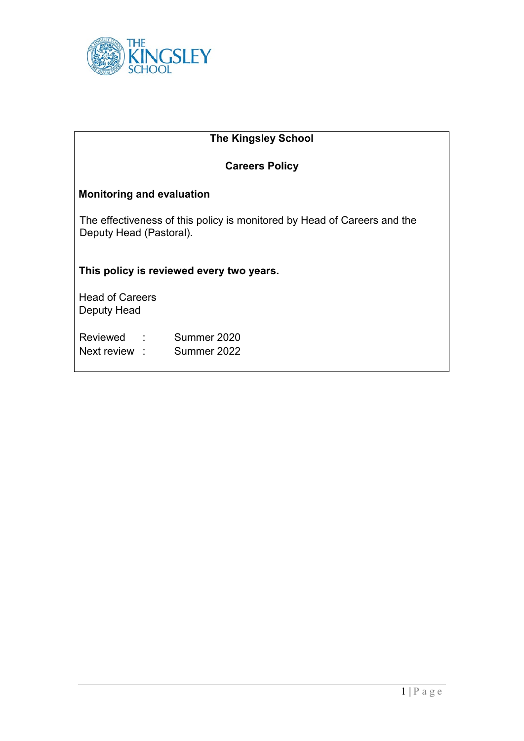

| <b>The Kingsley School</b>                                                                          |  |
|-----------------------------------------------------------------------------------------------------|--|
| <b>Careers Policy</b>                                                                               |  |
| <b>Monitoring and evaluation</b>                                                                    |  |
| The effectiveness of this policy is monitored by Head of Careers and the<br>Deputy Head (Pastoral). |  |
| This policy is reviewed every two years.                                                            |  |
| <b>Head of Careers</b><br>Deputy Head                                                               |  |
| Reviewed : Summer 2020<br>Next review : Summer 2022                                                 |  |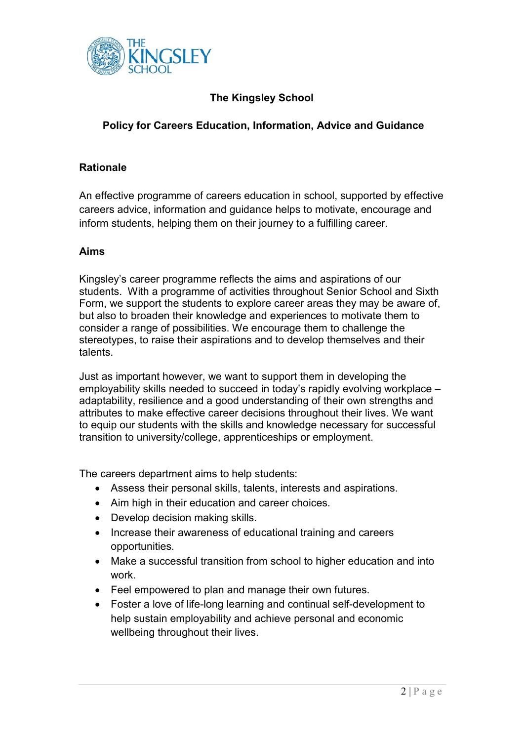

# **The Kingsley School**

## **Policy for Careers Education, Information, Advice and Guidance**

#### **Rationale**

An effective programme of careers education in school, supported by effective careers advice, information and guidance helps to motivate, encourage and inform students, helping them on their journey to a fulfilling career.

#### **Aims**

Kingsley's career programme reflects the aims and aspirations of our students. With a programme of activities throughout Senior School and Sixth Form, we support the students to explore career areas they may be aware of, but also to broaden their knowledge and experiences to motivate them to consider a range of possibilities. We encourage them to challenge the stereotypes, to raise their aspirations and to develop themselves and their talents.

Just as important however, we want to support them in developing the employability skills needed to succeed in today's rapidly evolving workplace – adaptability, resilience and a good understanding of their own strengths and attributes to make effective career decisions throughout their lives. We want to equip our students with the skills and knowledge necessary for successful transition to university/college, apprenticeships or employment.

The careers department aims to help students:

- Assess their personal skills, talents, interests and aspirations.
- Aim high in their education and career choices.
- Develop decision making skills.
- Increase their awareness of educational training and careers opportunities.
- Make a successful transition from school to higher education and into work.
- Feel empowered to plan and manage their own futures.
- Foster a love of life-long learning and continual self-development to help sustain employability and achieve personal and economic wellbeing throughout their lives.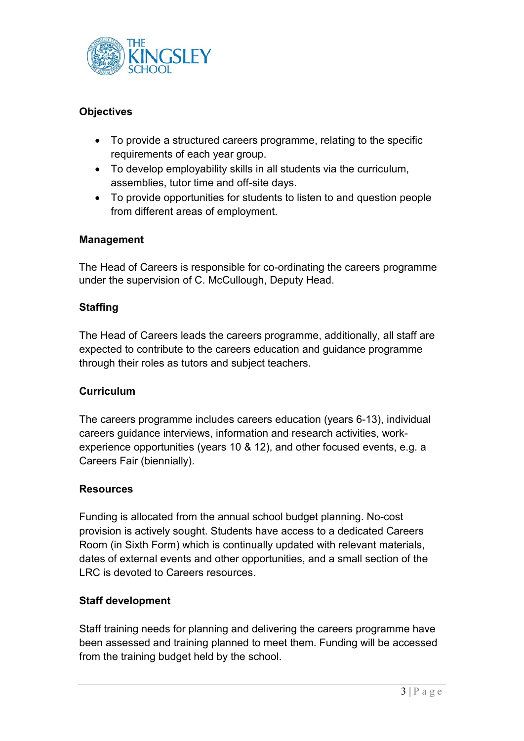

## **Objectives**

- To provide a structured careers programme, relating to the specific requirements of each year group.
- To develop employability skills in all students via the curriculum, assemblies, tutor time and off-site days.
- To provide opportunities for students to listen to and question people from different areas of employment.

## **Management**

The Head of Careers is responsible for co-ordinating the careers programme under the supervision of C. McCullough, Deputy Head.

## **Staffing**

The Head of Careers leads the careers programme, additionally, all staff are expected to contribute to the careers education and guidance programme through their roles as tutors and subject teachers.

## **Curriculum**

The careers programme includes careers education (years 6-13), individual careers guidance interviews, information and research activities, workexperience opportunities (years 10 & 12), and other focused events, e.g. a Careers Fair (biennially).

## **Resources**

Funding is allocated from the annual school budget planning. No-cost provision is actively sought. Students have access to a dedicated Careers Room (in Sixth Form) which is continually updated with relevant materials, dates of external events and other opportunities, and a small section of the LRC is devoted to Careers resources.

## **Staff development**

Staff training needs for planning and delivering the careers programme have been assessed and training planned to meet them. Funding will be accessed from the training budget held by the school.